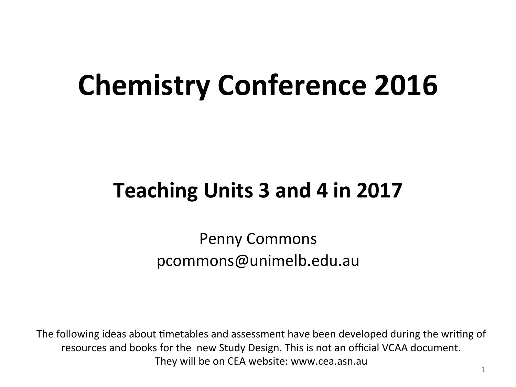## **Chemistry Conference 2016**

#### **Teaching Units 3 and 4 in 2017**

Penny Commons pcommons@unimelb.edu.au

The following ideas about timetables and assessment have been developed during the writing of resources and books for the new Study Design. This is not an official VCAA document. They will be on CEA website: www.cea.asn.au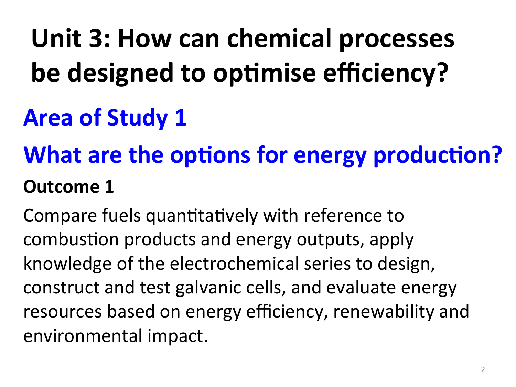# **Unit 3: How can chemical processes be designed to optimise efficiency?**

## **Area of Study 1**

## **What are the options for energy production? Outcome 1**

Compare fuels quantitatively with reference to combustion products and energy outputs, apply knowledge of the electrochemical series to design, construct and test galvanic cells, and evaluate energy resources based on energy efficiency, renewability and environmental impact.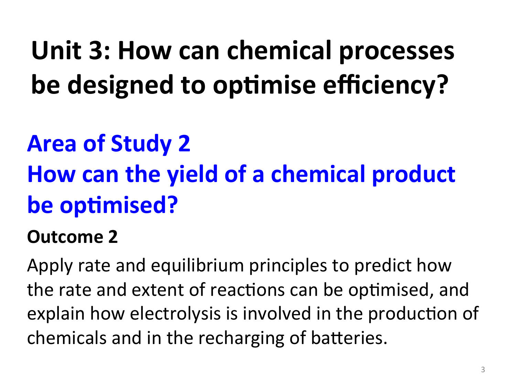**Unit 3: How can chemical processes be designed to optimise efficiency?** 

## **Area of Study 2**

## **How can the yield of a chemical product be optimised?**

#### **Outcome 2**

Apply rate and equilibrium principles to predict how the rate and extent of reactions can be optimised, and explain how electrolysis is involved in the production of chemicals and in the recharging of batteries.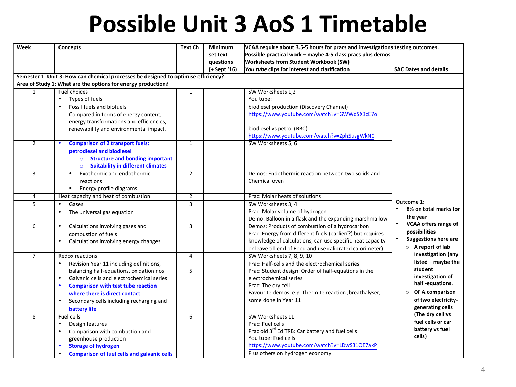### **Possible Unit 3 AoS 1 Timetable**

| VCAA require about 3.5-5 hours for pracs and investigations testing outcomes.<br>Minimum |                                                                                                                                                                                                                                                                                                                                                                                                                                                                                                                                                                                                                                                                                                                                                                                                                                                                                                                                                                                                                                                                                                                                                                                 |
|------------------------------------------------------------------------------------------|---------------------------------------------------------------------------------------------------------------------------------------------------------------------------------------------------------------------------------------------------------------------------------------------------------------------------------------------------------------------------------------------------------------------------------------------------------------------------------------------------------------------------------------------------------------------------------------------------------------------------------------------------------------------------------------------------------------------------------------------------------------------------------------------------------------------------------------------------------------------------------------------------------------------------------------------------------------------------------------------------------------------------------------------------------------------------------------------------------------------------------------------------------------------------------|
| set text                                                                                 |                                                                                                                                                                                                                                                                                                                                                                                                                                                                                                                                                                                                                                                                                                                                                                                                                                                                                                                                                                                                                                                                                                                                                                                 |
| <b>Worksheets from Student Workbook (SW)</b>                                             |                                                                                                                                                                                                                                                                                                                                                                                                                                                                                                                                                                                                                                                                                                                                                                                                                                                                                                                                                                                                                                                                                                                                                                                 |
| You tube clips for interest and clarification                                            | <b>SAC Dates and details</b>                                                                                                                                                                                                                                                                                                                                                                                                                                                                                                                                                                                                                                                                                                                                                                                                                                                                                                                                                                                                                                                                                                                                                    |
|                                                                                          |                                                                                                                                                                                                                                                                                                                                                                                                                                                                                                                                                                                                                                                                                                                                                                                                                                                                                                                                                                                                                                                                                                                                                                                 |
|                                                                                          |                                                                                                                                                                                                                                                                                                                                                                                                                                                                                                                                                                                                                                                                                                                                                                                                                                                                                                                                                                                                                                                                                                                                                                                 |
| SW Worksheets 1,2                                                                        |                                                                                                                                                                                                                                                                                                                                                                                                                                                                                                                                                                                                                                                                                                                                                                                                                                                                                                                                                                                                                                                                                                                                                                                 |
|                                                                                          |                                                                                                                                                                                                                                                                                                                                                                                                                                                                                                                                                                                                                                                                                                                                                                                                                                                                                                                                                                                                                                                                                                                                                                                 |
| biodiesel production (Discovery Channel)                                                 |                                                                                                                                                                                                                                                                                                                                                                                                                                                                                                                                                                                                                                                                                                                                                                                                                                                                                                                                                                                                                                                                                                                                                                                 |
|                                                                                          |                                                                                                                                                                                                                                                                                                                                                                                                                                                                                                                                                                                                                                                                                                                                                                                                                                                                                                                                                                                                                                                                                                                                                                                 |
|                                                                                          |                                                                                                                                                                                                                                                                                                                                                                                                                                                                                                                                                                                                                                                                                                                                                                                                                                                                                                                                                                                                                                                                                                                                                                                 |
|                                                                                          |                                                                                                                                                                                                                                                                                                                                                                                                                                                                                                                                                                                                                                                                                                                                                                                                                                                                                                                                                                                                                                                                                                                                                                                 |
|                                                                                          |                                                                                                                                                                                                                                                                                                                                                                                                                                                                                                                                                                                                                                                                                                                                                                                                                                                                                                                                                                                                                                                                                                                                                                                 |
|                                                                                          |                                                                                                                                                                                                                                                                                                                                                                                                                                                                                                                                                                                                                                                                                                                                                                                                                                                                                                                                                                                                                                                                                                                                                                                 |
|                                                                                          |                                                                                                                                                                                                                                                                                                                                                                                                                                                                                                                                                                                                                                                                                                                                                                                                                                                                                                                                                                                                                                                                                                                                                                                 |
|                                                                                          |                                                                                                                                                                                                                                                                                                                                                                                                                                                                                                                                                                                                                                                                                                                                                                                                                                                                                                                                                                                                                                                                                                                                                                                 |
|                                                                                          |                                                                                                                                                                                                                                                                                                                                                                                                                                                                                                                                                                                                                                                                                                                                                                                                                                                                                                                                                                                                                                                                                                                                                                                 |
|                                                                                          |                                                                                                                                                                                                                                                                                                                                                                                                                                                                                                                                                                                                                                                                                                                                                                                                                                                                                                                                                                                                                                                                                                                                                                                 |
|                                                                                          |                                                                                                                                                                                                                                                                                                                                                                                                                                                                                                                                                                                                                                                                                                                                                                                                                                                                                                                                                                                                                                                                                                                                                                                 |
|                                                                                          |                                                                                                                                                                                                                                                                                                                                                                                                                                                                                                                                                                                                                                                                                                                                                                                                                                                                                                                                                                                                                                                                                                                                                                                 |
|                                                                                          | Outcome 1:                                                                                                                                                                                                                                                                                                                                                                                                                                                                                                                                                                                                                                                                                                                                                                                                                                                                                                                                                                                                                                                                                                                                                                      |
|                                                                                          | 8% on total marks for<br>$\bullet$                                                                                                                                                                                                                                                                                                                                                                                                                                                                                                                                                                                                                                                                                                                                                                                                                                                                                                                                                                                                                                                                                                                                              |
|                                                                                          | the year                                                                                                                                                                                                                                                                                                                                                                                                                                                                                                                                                                                                                                                                                                                                                                                                                                                                                                                                                                                                                                                                                                                                                                        |
|                                                                                          | <b>VCAA offers range of</b>                                                                                                                                                                                                                                                                                                                                                                                                                                                                                                                                                                                                                                                                                                                                                                                                                                                                                                                                                                                                                                                                                                                                                     |
|                                                                                          | possibilities                                                                                                                                                                                                                                                                                                                                                                                                                                                                                                                                                                                                                                                                                                                                                                                                                                                                                                                                                                                                                                                                                                                                                                   |
|                                                                                          | <b>Suggestions here are</b>                                                                                                                                                                                                                                                                                                                                                                                                                                                                                                                                                                                                                                                                                                                                                                                                                                                                                                                                                                                                                                                                                                                                                     |
|                                                                                          | $\circ$ A report of lab                                                                                                                                                                                                                                                                                                                                                                                                                                                                                                                                                                                                                                                                                                                                                                                                                                                                                                                                                                                                                                                                                                                                                         |
|                                                                                          | investigation (any                                                                                                                                                                                                                                                                                                                                                                                                                                                                                                                                                                                                                                                                                                                                                                                                                                                                                                                                                                                                                                                                                                                                                              |
|                                                                                          | listed - maybe the                                                                                                                                                                                                                                                                                                                                                                                                                                                                                                                                                                                                                                                                                                                                                                                                                                                                                                                                                                                                                                                                                                                                                              |
|                                                                                          | student                                                                                                                                                                                                                                                                                                                                                                                                                                                                                                                                                                                                                                                                                                                                                                                                                                                                                                                                                                                                                                                                                                                                                                         |
|                                                                                          | investigation of                                                                                                                                                                                                                                                                                                                                                                                                                                                                                                                                                                                                                                                                                                                                                                                                                                                                                                                                                                                                                                                                                                                                                                |
|                                                                                          | half-equations.                                                                                                                                                                                                                                                                                                                                                                                                                                                                                                                                                                                                                                                                                                                                                                                                                                                                                                                                                                                                                                                                                                                                                                 |
|                                                                                          | OF A comparison                                                                                                                                                                                                                                                                                                                                                                                                                                                                                                                                                                                                                                                                                                                                                                                                                                                                                                                                                                                                                                                                                                                                                                 |
|                                                                                          | of two electricity-                                                                                                                                                                                                                                                                                                                                                                                                                                                                                                                                                                                                                                                                                                                                                                                                                                                                                                                                                                                                                                                                                                                                                             |
|                                                                                          | generating cells                                                                                                                                                                                                                                                                                                                                                                                                                                                                                                                                                                                                                                                                                                                                                                                                                                                                                                                                                                                                                                                                                                                                                                |
|                                                                                          | (The dry cell vs                                                                                                                                                                                                                                                                                                                                                                                                                                                                                                                                                                                                                                                                                                                                                                                                                                                                                                                                                                                                                                                                                                                                                                |
|                                                                                          | fuel cells or car                                                                                                                                                                                                                                                                                                                                                                                                                                                                                                                                                                                                                                                                                                                                                                                                                                                                                                                                                                                                                                                                                                                                                               |
|                                                                                          | battery vs fuel                                                                                                                                                                                                                                                                                                                                                                                                                                                                                                                                                                                                                                                                                                                                                                                                                                                                                                                                                                                                                                                                                                                                                                 |
|                                                                                          | cells)                                                                                                                                                                                                                                                                                                                                                                                                                                                                                                                                                                                                                                                                                                                                                                                                                                                                                                                                                                                                                                                                                                                                                                          |
|                                                                                          |                                                                                                                                                                                                                                                                                                                                                                                                                                                                                                                                                                                                                                                                                                                                                                                                                                                                                                                                                                                                                                                                                                                                                                                 |
|                                                                                          |                                                                                                                                                                                                                                                                                                                                                                                                                                                                                                                                                                                                                                                                                                                                                                                                                                                                                                                                                                                                                                                                                                                                                                                 |
|                                                                                          | Possible practical work - maybe 4-5 class pracs plus demos<br>You tube:<br>https://www.youtube.com/watch?v=GWWqSX3cE7o<br>biodiesel vs petrol (BBC)<br>https://www.youtube.com/watch?v=Zph5usgWkN0<br>SW Worksheets 5, 6<br>Demos: Endothermic reaction between two solids and<br>Chemical oven<br>Prac: Molar heats of solutions<br>SW Worksheets 3, 4<br>Prac: Molar volume of hydrogen<br>Demo: Balloon in a flask and the expanding marshmallow<br>Demos: Products of combustion of a hydrocarbon<br>Prac: Energy from different fuels (earlier(?) but requires<br>knowledge of calculations; can use specific heat capacity<br>or leave till end of Food and use calibrated calorimeter).<br>SW Worksheets 7, 8, 9, 10<br>Prac: Half-cells and the electrochemical series<br>Prac: Student design: Order of half-equations in the<br>electrochemical series<br>Prac: The dry cell<br>Favourite demos: e.g. Thermite reaction , breathalyser,<br>some done in Year 11<br>SW Worksheets 11<br>Prac: Fuel cells<br>Prac old 3rd Ed TRB: Car battery and fuel cells<br>You tube: Fuel cells<br>https://www.youtube.com/watch?v=LDwS31OE7akP<br>Plus others on hydrogen economy |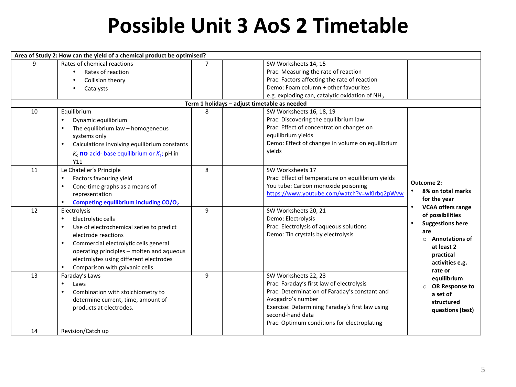#### **Possible Unit 3 AoS 2 Timetable**

| Area of Study 2: How can the yield of a chemical product be optimised? |                                                       |                |                                                            |                                       |
|------------------------------------------------------------------------|-------------------------------------------------------|----------------|------------------------------------------------------------|---------------------------------------|
| 9                                                                      | Rates of chemical reactions                           | $\overline{7}$ | SW Worksheets 14, 15                                       |                                       |
|                                                                        | Rates of reaction                                     |                | Prac: Measuring the rate of reaction                       |                                       |
|                                                                        | Collision theory                                      |                | Prac: Factors affecting the rate of reaction               |                                       |
|                                                                        | Catalysts                                             |                | Demo: Foam column + other favourites                       |                                       |
|                                                                        |                                                       |                | e.g. exploding can, catalytic oxidation of NH <sub>3</sub> |                                       |
|                                                                        |                                                       |                | Term 1 holidays - adjust timetable as needed               |                                       |
| 10                                                                     | Equilibrium                                           | 8              | SW Worksheets 16, 18, 19                                   |                                       |
|                                                                        | Dynamic equilibrium<br>$\bullet$                      |                | Prac: Discovering the equilibrium law                      |                                       |
|                                                                        | The equilibrium law - homogeneous                     |                | Prac: Effect of concentration changes on                   |                                       |
|                                                                        | systems only                                          |                | equilibrium yields                                         |                                       |
|                                                                        | Calculations involving equilibrium constants          |                | Demo: Effect of changes in volume on equilibrium           |                                       |
|                                                                        | $K_c$ no acid-base equilibrium or $K_a$ ; pH in       |                | vields                                                     |                                       |
|                                                                        | Y11                                                   |                |                                                            |                                       |
| 11                                                                     | Le Chatelier's Principle                              | 8              | SW Worksheets 17                                           |                                       |
|                                                                        | Factors favouring yield<br>$\bullet$                  |                | Prac: Effect of temperature on equilibrium yields          |                                       |
|                                                                        | Conc-time graphs as a means of<br>$\bullet$           |                | You tube: Carbon monoxide poisoning                        | Outcome 2:                            |
|                                                                        | representation                                        |                | https://www.youtube.com/watch?v=wKlrbq2pWvw                | 8% on total marks                     |
|                                                                        | Competing equilibrium including CO/O <sub>2</sub>     |                |                                                            | for the year                          |
| 12                                                                     | Electrolysis                                          | 9              | SW Worksheets 20, 21                                       | <b>VCAA offers range</b><br>$\bullet$ |
|                                                                        | Electrolytic cells<br>$\bullet$                       |                | Demo: Electrolysis                                         | of possibilities                      |
|                                                                        | Use of electrochemical series to predict<br>$\bullet$ |                | Prac: Electrolysis of aqueous solutions                    | <b>Suggestions here</b><br>$\bullet$  |
|                                                                        | electrode reactions                                   |                | Demo: Tin crystals by electrolysis                         | are                                   |
|                                                                        | Commercial electrolytic cells general                 |                |                                                            | <b>Annotations of</b><br>$\Omega$     |
|                                                                        | operating principles - molten and aqueous             |                |                                                            | at least 2                            |
|                                                                        | electrolytes using different electrodes               |                |                                                            | practical<br>activities e.g.          |
|                                                                        | Comparison with galvanic cells<br>$\bullet$           |                |                                                            | rate or                               |
| 13                                                                     | Faraday's Laws                                        | 9              | SW Worksheets 22, 23                                       | equilibrium                           |
|                                                                        | Laws<br>$\bullet$                                     |                | Prac: Faraday's first law of electrolysis                  | <b>OR Response to</b>                 |
|                                                                        | Combination with stoichiometry to                     |                | Prac: Determination of Faraday's constant and              | a set of                              |
|                                                                        | determine current, time, amount of                    |                | Avogadro's number                                          | structured                            |
|                                                                        | products at electrodes.                               |                | Exercise: Determining Faraday's first law using            | questions (test)                      |
|                                                                        |                                                       |                | second-hand data                                           |                                       |
|                                                                        |                                                       |                | Prac: Optimum conditions for electroplating                |                                       |
| 14                                                                     | Revision/Catch up                                     |                |                                                            |                                       |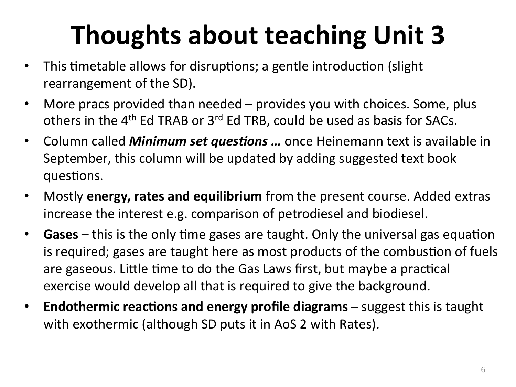## **Thoughts about teaching Unit 3**

- This timetable allows for disruptions; a gentle introduction (slight) rearrangement of the SD).
- More pracs provided than needed provides you with choices. Some, plus others in the  $4<sup>th</sup>$  Ed TRAB or  $3<sup>rd</sup>$  Ed TRB, could be used as basis for SACs.
- Column called *Minimum set questions ...* once Heinemann text is available in September, this column will be updated by adding suggested text book questions.
- Mostly **energy, rates and equilibrium** from the present course. Added extras increase the interest e.g. comparison of petrodiesel and biodiesel.
- **Gases** this is the only time gases are taught. Only the universal gas equation is required; gases are taught here as most products of the combustion of fuels are gaseous. Little time to do the Gas Laws first, but maybe a practical exercise would develop all that is required to give the background.
- **Endothermic reactions and energy profile diagrams** suggest this is taught with exothermic (although SD puts it in AoS 2 with Rates).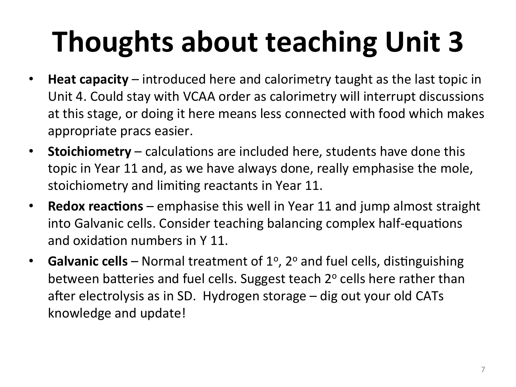# **Thoughts about teaching Unit 3**

- **Heat capacity** introduced here and calorimetry taught as the last topic in Unit 4. Could stay with VCAA order as calorimetry will interrupt discussions at this stage, or doing it here means less connected with food which makes appropriate pracs easier.
- Stoichiometry calculations are included here, students have done this topic in Year 11 and, as we have always done, really emphasise the mole, stoichiometry and limiting reactants in Year 11.
- **Redox reactions** emphasise this well in Year 11 and jump almost straight into Galvanic cells. Consider teaching balancing complex half-equations and oxidation numbers in  $Y$  11.
- **Galvanic cells** Normal treatment of 1<sup>o</sup>, 2<sup>o</sup> and fuel cells, distinguishing between batteries and fuel cells. Suggest teach  $2^{\circ}$  cells here rather than after electrolysis as in SD. Hydrogen storage  $-$  dig out your old CATs knowledge and update!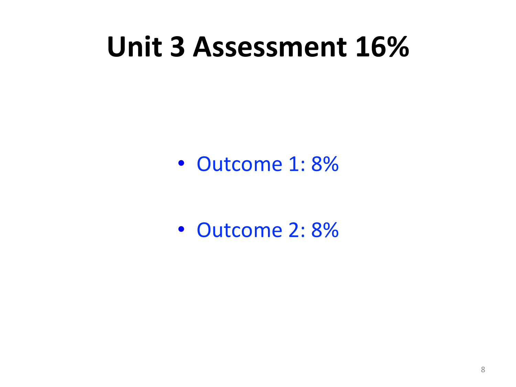## Unit 3 Assessment 16%

• Outcome 1: 8%

• Outcome 2: 8%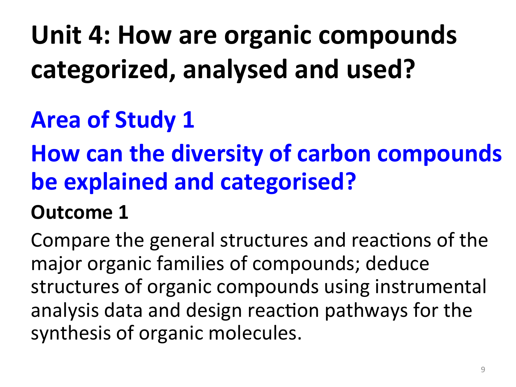## Unit 4: How are organic compounds categorized, analysed and used?

### **Area of Study 1**

### **How can the diversity of carbon compounds be explained and categorised?**

#### **Outcome 1**

Compare the general structures and reactions of the major organic families of compounds; deduce structures of organic compounds using instrumental analysis data and design reaction pathways for the synthesis of organic molecules.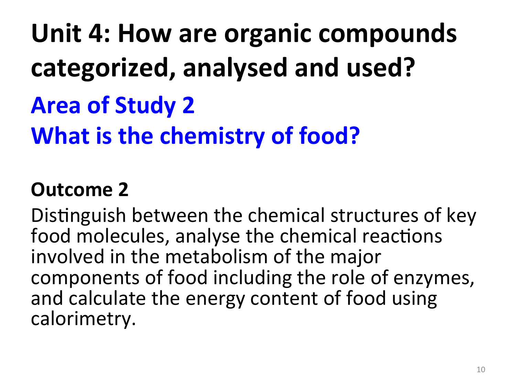Unit 4: How are organic compounds categorized, analysed and used? **Area of Study 2 What is the chemistry of food?** 

#### **Outcome 2**

Distinguish between the chemical structures of key food molecules, analyse the chemical reactions involved in the metabolism of the major components of food including the role of enzymes, and calculate the energy content of food using calorimetry.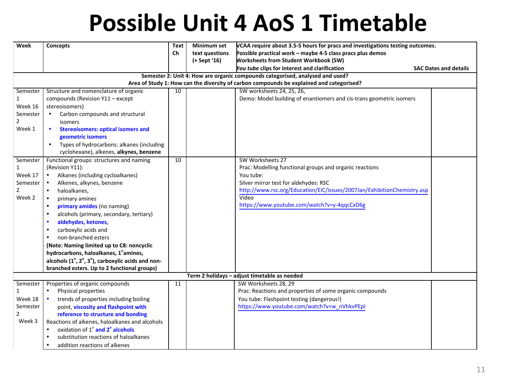### **Possible Unit 4 AoS 1 Timetable**

| Week           | Concepts                                               | <b>Text</b> | <b>Minimum set</b> | VCAA require about 3.5-5 hours for pracs and investigations testing outcomes.            |                              |  |  |
|----------------|--------------------------------------------------------|-------------|--------------------|------------------------------------------------------------------------------------------|------------------------------|--|--|
|                |                                                        | Ch          | text questions     | Possible practical work - maybe 4-5 class pracs plus demos                               |                              |  |  |
|                |                                                        |             | (+ Sept '16)       | <b>Worksheets from Student Workbook (SW)</b>                                             |                              |  |  |
|                |                                                        |             |                    | You tube clips for interest and clarification                                            | <b>SAC Dates and details</b> |  |  |
|                |                                                        |             |                    | Semester 2: Unit 4: How are organic compounds categorised, analysed and used?            |                              |  |  |
|                |                                                        |             |                    | Area of Study 1: How can the diversity of carbon compounds be explained and categorised? |                              |  |  |
| Semester       | Structure and nomenclature of organic                  | 10          |                    | SW worksheets 24, 25, 26,                                                                |                              |  |  |
| $\mathbf{1}$   | compounds (Revision Y11 - except                       |             |                    | Demo: Model building of enantiomers and cis-trans geometric isomers                      |                              |  |  |
| Week 16        | stereoisomers)                                         |             |                    |                                                                                          |                              |  |  |
| Semester       | Carbon compounds and structural<br>$\bullet$           |             |                    |                                                                                          |                              |  |  |
| $\overline{2}$ | isomers                                                |             |                    |                                                                                          |                              |  |  |
| Week 1         | <b>Stereoisomers: optical isomers and</b><br>$\bullet$ |             |                    |                                                                                          |                              |  |  |
|                | geometric isomers                                      |             |                    |                                                                                          |                              |  |  |
|                | Types of hydrocarbons: alkanes (including<br>$\bullet$ |             |                    |                                                                                          |                              |  |  |
|                | cyclohexane), alkenes, alkynes, benzene                |             |                    |                                                                                          |                              |  |  |
| Semester       | Functional groups: structures and naming               | 10          |                    | SW Worksheets 27                                                                         |                              |  |  |
| $\mathbf{1}$   | (Revision Y11):                                        |             |                    | Prac: Modelling functional groups and organic reactions                                  |                              |  |  |
| Week 17        | Alkanes (including cycloalkanes)                       |             |                    | You tube:                                                                                |                              |  |  |
| Semester       | Alkenes, alkynes, benzene                              |             |                    | Silver mirror test for aldehydes: RSC                                                    |                              |  |  |
| $\overline{2}$ | haloalkanes,<br>$\bullet$                              |             |                    | http://www.rsc.org/Education/EiC/issues/2007Jan/ExhibitionChemistry.asp                  |                              |  |  |
| Week 2         | $\bullet$<br>primary amines                            |             |                    | Video                                                                                    |                              |  |  |
|                | primary amides (no naming)<br>$\bullet$                |             |                    | https://www.youtube.com/watch?v=y-4qqcCxD6g                                              |                              |  |  |
|                | alcohols (primary, secondary, tertiary)<br>$\bullet$   |             |                    |                                                                                          |                              |  |  |
|                | aldehydes, ketones,                                    |             |                    |                                                                                          |                              |  |  |
|                | carboxylic acids and                                   |             |                    |                                                                                          |                              |  |  |
|                | non-branched esters                                    |             |                    |                                                                                          |                              |  |  |
|                | (Note: Naming limited up to C8: noncyclic              |             |                    |                                                                                          |                              |  |  |
|                | hydrocarbons, haloalkanes, 1° amines,                  |             |                    |                                                                                          |                              |  |  |
|                | alcohols (1°, 2°, 3°), carboxylic acids and non-       |             |                    |                                                                                          |                              |  |  |
|                | branched esters. Up to 2 functional groups)            |             |                    |                                                                                          |                              |  |  |
|                | Term 2 holidays - adjust timetable as needed           |             |                    |                                                                                          |                              |  |  |
| Semester       | Properties of organic compounds                        | 11          |                    | SW Worksheets 28, 29                                                                     |                              |  |  |
| $\mathbf{1}$   | Physical properties<br>$\bullet$                       |             |                    | Prac: Reactions and properties of some organic compounds                                 |                              |  |  |
| Week 18        | trends of properties including boiling                 |             |                    | You tube: Flashpoint testing (dangerous!)                                                |                              |  |  |
| Semester       | point, viscosity and flashpoint with                   |             |                    | https://www.youtube.com/watch?v=w_nVhkvPEpI                                              |                              |  |  |
| 2              | reference to structure and bonding                     |             |                    |                                                                                          |                              |  |  |
| Week 3         | Reactions of alkenes, haloalkanes and alcohols         |             |                    |                                                                                          |                              |  |  |
|                | oxidation of 1° and 2° alcohols                        |             |                    |                                                                                          |                              |  |  |
|                | substitution reactions of haloalkanes                  |             |                    |                                                                                          |                              |  |  |
|                | addition reactions of alkenes                          |             |                    |                                                                                          |                              |  |  |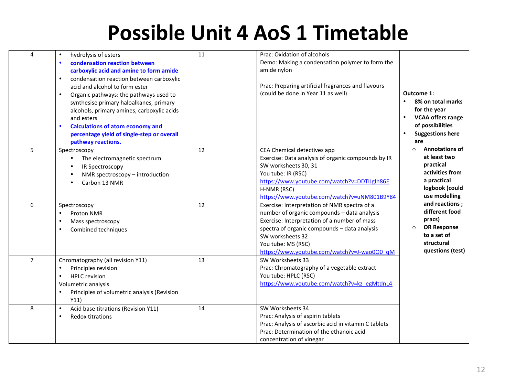#### **Possible Unit 4 AoS 1 Timetable**

| 4              | hydrolysis of esters<br>$\bullet$<br>condensation reaction between<br>carboxylic acid and amine to form amide<br>condensation reaction between carboxylic<br>acid and alcohol to form ester<br>Organic pathways: the pathways used to<br>synthesise primary haloalkanes, primary<br>alcohols, primary amines, carboxylic acids<br>and esters<br><b>Calculations of atom economy and</b><br>percentage yield of single-step or overall<br>pathway reactions. | 11 | Prac: Oxidation of alcohols<br>Demo: Making a condensation polymer to form the<br>amide nylon<br>Prac: Preparing artificial fragrances and flavours<br>(could be done in Year 11 as well)                                                                                            | Outcome 1:<br>$\bullet$<br>8% on total marks<br>for the year<br>$\bullet$<br><b>VCAA offers range</b><br>of possibilities<br><b>Suggestions here</b><br>are |
|----------------|-------------------------------------------------------------------------------------------------------------------------------------------------------------------------------------------------------------------------------------------------------------------------------------------------------------------------------------------------------------------------------------------------------------------------------------------------------------|----|--------------------------------------------------------------------------------------------------------------------------------------------------------------------------------------------------------------------------------------------------------------------------------------|-------------------------------------------------------------------------------------------------------------------------------------------------------------|
| 5              | Spectroscopy<br>The electromagnetic spectrum<br>IR Spectroscopy<br>NMR spectroscopy - introduction<br>Carbon 13 NMR                                                                                                                                                                                                                                                                                                                                         | 12 | CEA Chemical detectives app<br>Exercise: Data analysis of organic compounds by IR<br>SW worksheets 30, 31<br>You tube: IR (RSC)<br>https://www.youtube.com/watch?v=DDTIJgIh86E<br>H-NMR (RSC)<br>https://www.youtube.com/watch?v=uNM801B9Y84                                         | <b>Annotations of</b><br>$\circ$<br>at least two<br>practical<br>activities from<br>a practical<br>logbook (could<br>use modelling                          |
| 6              | Spectroscopy<br>Proton NMR<br>Mass spectroscopy<br>Combined techniques                                                                                                                                                                                                                                                                                                                                                                                      | 12 | Exercise: Interpretation of NMR spectra of a<br>number of organic compounds - data analysis<br>Exercise: Interpretation of a number of mass<br>spectra of organic compounds - data analysis<br>SW worksheets 32<br>You tube: MS (RSC)<br>https://www.youtube.com/watch?v=J-wao000_qM | and reactions;<br>different food<br>pracs)<br><b>OR Response</b><br>$\circ$<br>to a set of<br>structural<br>questions (test)                                |
| $\overline{7}$ | Chromatography (all revision Y11)<br>Principles revision<br><b>HPLC</b> revision<br>$\bullet$<br>Volumetric analysis<br>Principles of volumetric analysis (Revision<br>Y11)                                                                                                                                                                                                                                                                                 | 13 | SW Worksheets 33<br>Prac: Chromatography of a vegetable extract<br>You tube: HPLC (RSC)<br>https://www.youtube.com/watch?v=kz_egMtdnL4                                                                                                                                               |                                                                                                                                                             |
| 8              | Acid base titrations (Revision Y11)<br>$\bullet$<br><b>Redox titrations</b>                                                                                                                                                                                                                                                                                                                                                                                 | 14 | SW Worksheets 34<br>Prac: Analysis of aspirin tablets<br>Prac: Analysis of ascorbic acid in vitamin C tablets<br>Prac: Determination of the ethanoic acid<br>concentration of vinegar                                                                                                |                                                                                                                                                             |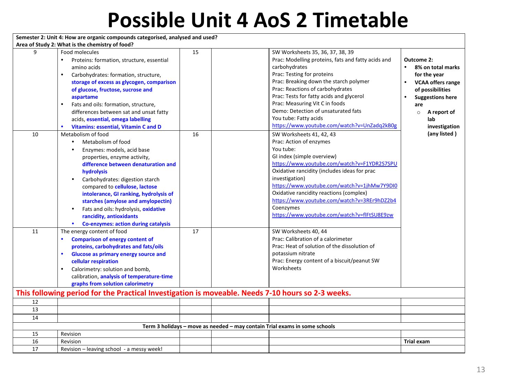#### **Possible Unit 4 AoS 2 Timetable**

|    | Semester 2: Unit 4: How are organic compounds categorised, analysed and used?                                                                                                                                                                                                                                                                                                                                                                  |    |                                                                                                                                                                                                                                                                                                                                                                                                                      |                                                                                                                                                                                                               |
|----|------------------------------------------------------------------------------------------------------------------------------------------------------------------------------------------------------------------------------------------------------------------------------------------------------------------------------------------------------------------------------------------------------------------------------------------------|----|----------------------------------------------------------------------------------------------------------------------------------------------------------------------------------------------------------------------------------------------------------------------------------------------------------------------------------------------------------------------------------------------------------------------|---------------------------------------------------------------------------------------------------------------------------------------------------------------------------------------------------------------|
|    | Area of Study 2: What is the chemistry of food?                                                                                                                                                                                                                                                                                                                                                                                                |    |                                                                                                                                                                                                                                                                                                                                                                                                                      |                                                                                                                                                                                                               |
| 9  | Food molecules<br>Proteins: formation, structure, essential<br>amino acids<br>Carbohydrates: formation, structure,<br>$\bullet$<br>storage of excess as glycogen, comparison<br>of glucose, fructose, sucrose and<br>aspartame<br>Fats and oils: formation, structure,<br>differences between sat and unsat fatty<br>acids, essential, omega labelling<br>Vitamins: essential, Vitamin C and D                                                 | 15 | SW Worksheets 35, 36, 37, 38, 39<br>Prac: Modelling proteins, fats and fatty acids and<br>carbohydrates<br>Prac: Testing for proteins<br>Prac: Breaking down the starch polymer<br>Prac: Reactions of carbohydrates<br>Prac: Tests for fatty acids and glycerol<br>Prac: Measuring Vit C in foods<br>Demo: Detection of unsaturated fats<br>You tube: Fatty acids<br>https://www.youtube.com/watch?v=UnZadq2kB0g     | Outcome 2:<br>$\bullet$<br>8% on total marks<br>for the year<br>$\bullet$<br><b>VCAA offers range</b><br>of possibilities<br><b>Suggestions here</b><br>are<br>A report of<br>$\circ$<br>lab<br>investigation |
| 10 | Metabolism of food<br>Metabolism of food<br>$\bullet$<br>Enzymes: models, acid base<br>properties, enzyme activity,<br>difference between denaturation and<br>hydrolysis<br>Carbohydrates: digestion starch<br>compared to cellulose, lactose<br>intolerance, GI ranking, hydrolysis of<br>starches (amylose and amylopectin)<br>Fats and oils: hydrolysis, oxidative<br>rancidity, antioxidants<br><b>Co-enzymes: action during catalysis</b> | 16 | SW Worksheets 41, 42, 43<br>Prac: Action of enzymes<br>You tube:<br>GI index (simple overview)<br>https://www.youtube.com/watch?v=F1YDR2S7SPU<br>Oxidative rancidity (includes ideas for prac<br>investigation)<br>https://www.youtube.com/watch?v=1jhMw7Y9DI0<br>Oxidative rancidity reactions (complex)<br>https://www.youtube.com/watch?v=3REr9hDZ2b4<br>Coenzymes<br>https://www.youtube.com/watch?v=flFtSU8E9zw | (any listed)                                                                                                                                                                                                  |
| 11 | The energy content of food<br><b>Comparison of energy content of</b><br>proteins, carbohydrates and fats/oils<br>Glucose as primary energy source and<br>$\bullet$<br>cellular respiration<br>Calorimetry: solution and bomb,<br>$\bullet$<br>calibration, analysis of temperature-time<br>graphs from solution calorimetry                                                                                                                    | 17 | SW Worksheets 40, 44<br>Prac: Calibration of a calorimeter<br>Prac: Heat of solution of the dissolution of<br>potassium nitrate<br>Prac: Energy content of a biscuit/peanut SW<br>Worksheets<br>This following period for the Practical Investigation is moveable. Needs 7-10 hours so 2-3 weeks.                                                                                                                    |                                                                                                                                                                                                               |
| 12 |                                                                                                                                                                                                                                                                                                                                                                                                                                                |    |                                                                                                                                                                                                                                                                                                                                                                                                                      |                                                                                                                                                                                                               |
| 13 |                                                                                                                                                                                                                                                                                                                                                                                                                                                |    |                                                                                                                                                                                                                                                                                                                                                                                                                      |                                                                                                                                                                                                               |
| 14 |                                                                                                                                                                                                                                                                                                                                                                                                                                                |    |                                                                                                                                                                                                                                                                                                                                                                                                                      |                                                                                                                                                                                                               |
|    |                                                                                                                                                                                                                                                                                                                                                                                                                                                |    | Term 3 holidays - move as needed - may contain Trial exams in some schools                                                                                                                                                                                                                                                                                                                                           |                                                                                                                                                                                                               |
| 15 | Revision                                                                                                                                                                                                                                                                                                                                                                                                                                       |    |                                                                                                                                                                                                                                                                                                                                                                                                                      |                                                                                                                                                                                                               |
| 16 | Revision                                                                                                                                                                                                                                                                                                                                                                                                                                       |    |                                                                                                                                                                                                                                                                                                                                                                                                                      | <b>Trial exam</b>                                                                                                                                                                                             |
| 17 | Revision – leaving school - a messy week!                                                                                                                                                                                                                                                                                                                                                                                                      |    |                                                                                                                                                                                                                                                                                                                                                                                                                      |                                                                                                                                                                                                               |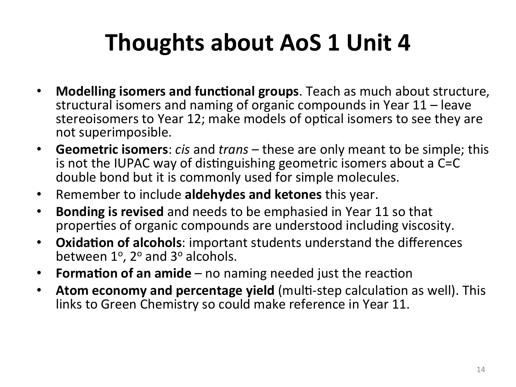### **Thoughts about AoS 1 Unit 4**

- Modelling isomers and functional groups. Teach as much about structure, structural isomers and naming of organic compounds in Year  $11$  – leave stereoisomers to Year 12; make models of optical isomers to see they are not superimposible.
- **Geometric isomers**: *cis* and *trans* these are only meant to be simple; this is not the IUPAC way of distinguishing geometric isomers about a C=C double bond but it is commonly used for simple molecules.
- Remember to include **aldehydes and ketones** this year.
- **Bonding is revised** and needs to be emphasied in Year 11 so that properties of organic compounds are understood including viscosity.
- **Oxidation of alcohols**: important students understand the differences between  $1^{\circ}$ ,  $2^{\circ}$  and  $3^{\circ}$  alcohols.
- **Formation of an amide** no naming needed just the reaction
- Atom economy and percentage yield (multi-step calculation as well). This links to Green Chemistry so could make reference in Year 11.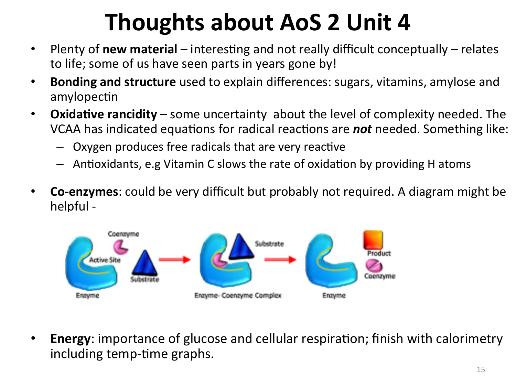### **Thoughts about AoS 2 Unit 4**

- Plenty of **new material** interesting and not really difficult conceptually relates to life; some of us have seen parts in years gone by!
- **Bonding and structure** used to explain differences: sugars, vitamins, amylose and amylopectin
- **Oxidative rancidity** some uncertainty about the level of complexity needed. The VCAA has indicated equations for radical reactions are not needed. Something like:
	- $-$  Oxygen produces free radicals that are very reactive
	- $-$  Antioxidants, e.g Vitamin C slows the rate of oxidation by providing H atoms
- **Co-enzymes**: could be very difficult but probably not required. A diagram might be helpful -



• **Energy**: importance of glucose and cellular respiration; finish with calorimetry including temp-time graphs.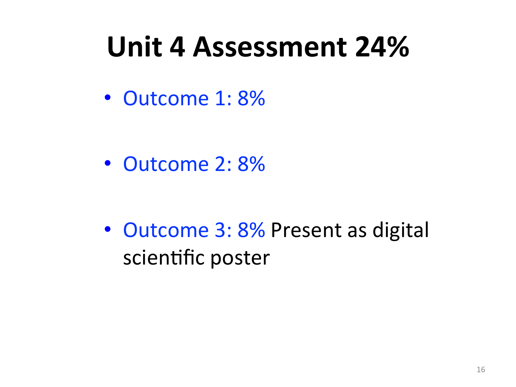## Unit 4 Assessment 24%

• Outcome 1: 8%

• Outcome 2: 8%

• Outcome 3: 8% Present as digital scientific poster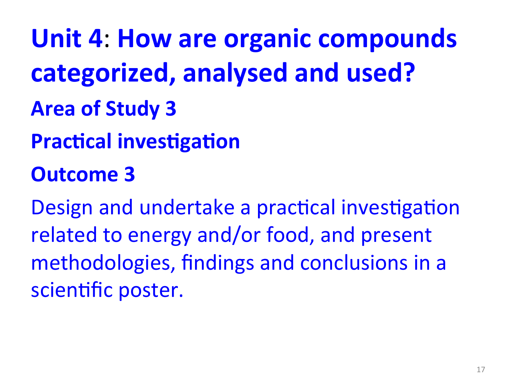**Unit 4: How are organic compounds** categorized, analysed and used? **Area of Study 3 Practical investigation Outcome 3** Design and undertake a practical investigation related to energy and/or food, and present methodologies, findings and conclusions in a

scientific poster.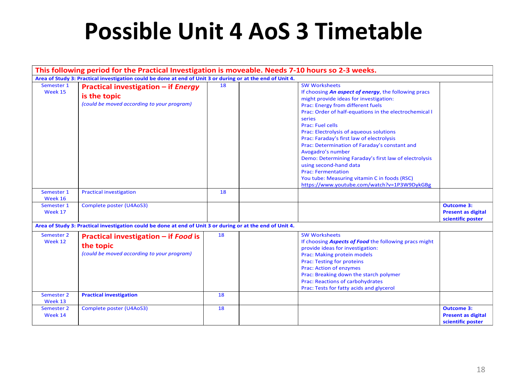#### **Possible Unit 4 AoS 3 Timetable**

|                       |                                                                                                            |    | This following period for the Practical Investigation is moveable. Needs 7-10 hours so 2-3 weeks.                                                                                                                                                                                                                                                                                                                                                                                                                                                                                                                                       |                                                                     |
|-----------------------|------------------------------------------------------------------------------------------------------------|----|-----------------------------------------------------------------------------------------------------------------------------------------------------------------------------------------------------------------------------------------------------------------------------------------------------------------------------------------------------------------------------------------------------------------------------------------------------------------------------------------------------------------------------------------------------------------------------------------------------------------------------------------|---------------------------------------------------------------------|
|                       | Area of Study 3: Practical investigation could be done at end of Unit 3 or during or at the end of Unit 4. |    |                                                                                                                                                                                                                                                                                                                                                                                                                                                                                                                                                                                                                                         |                                                                     |
| Semester 1<br>Week 15 | <b>Practical investigation - if Energy</b><br>is the topic<br>(could be moved according to your program)   | 18 | <b>SW Worksheets</b><br>If choosing An aspect of energy, the following pracs<br>might provide ideas for investigation:<br>Prac: Energy from different fuels<br>Prac: Order of half-equations in the electrochemical I<br>series<br><b>Prac: Fuel cells</b><br>Prac: Electrolysis of aqueous solutions<br>Prac: Faraday's first law of electrolysis<br>Prac: Determination of Faraday's constant and<br>Avogadro's number<br>Demo: Determining Faraday's first law of electrolysis<br>using second-hand data<br><b>Prac: Fermentation</b><br>You tube: Measuring vitamin C in foods (RSC)<br>https://www.youtube.com/watch?v=1P3W9DykGBg |                                                                     |
| Semester 1<br>Week 16 | <b>Practical investigation</b>                                                                             | 18 |                                                                                                                                                                                                                                                                                                                                                                                                                                                                                                                                                                                                                                         |                                                                     |
| Semester 1<br>Week 17 | Complete poster (U4AoS3)                                                                                   |    |                                                                                                                                                                                                                                                                                                                                                                                                                                                                                                                                                                                                                                         | <b>Outcome 3:</b><br><b>Present as digital</b><br>scientific poster |
|                       | Area of Study 3: Practical investigation could be done at end of Unit 3 or during or at the end of Unit 4. |    |                                                                                                                                                                                                                                                                                                                                                                                                                                                                                                                                                                                                                                         |                                                                     |
| Semester 2<br>Week 12 | Practical investigation - if Food is<br>the topic<br>(could be moved according to your program)            | 18 | <b>SW Worksheets</b><br>If choosing <b>Aspects of Food</b> the following pracs might<br>provide ideas for investigation:<br>Prac: Making protein models<br><b>Prac: Testing for proteins</b><br><b>Prac: Action of enzymes</b><br>Prac: Breaking down the starch polymer<br><b>Prac: Reactions of carbohydrates</b><br>Prac: Tests for fatty acids and glycerol                                                                                                                                                                                                                                                                         |                                                                     |
| Semester 2<br>Week 13 | <b>Practical investigation</b>                                                                             | 18 |                                                                                                                                                                                                                                                                                                                                                                                                                                                                                                                                                                                                                                         |                                                                     |
| Semester 2<br>Week 14 | Complete poster (U4AoS3)                                                                                   | 18 |                                                                                                                                                                                                                                                                                                                                                                                                                                                                                                                                                                                                                                         | <b>Outcome 3:</b><br><b>Present as digital</b><br>scientific poster |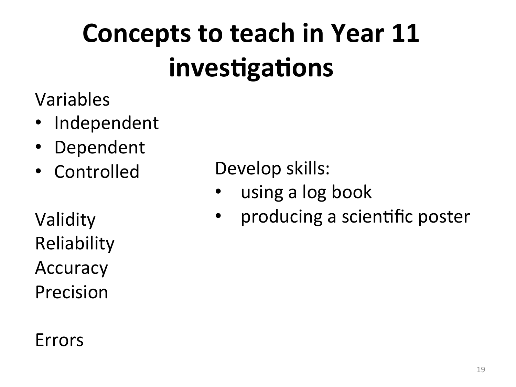## **Concepts to teach in Year 11** investigations

- Variables
- **Independent**
- **Dependent**
- Controlled

Validity Reliability Accuracy Precision 

#### Errors

Develop skills:

- using a log book
- producing a scientific poster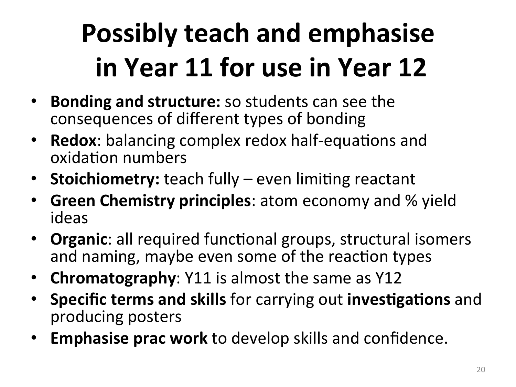# **Possibly teach and emphasise in Year 11 for use in Year 12**

- **Bonding and structure:** so students can see the consequences of different types of bonding
- **Redox**: balancing complex redox half-equations and oxidation numbers
- Stoichiometry: teach fully even limiting reactant
- **Green Chemistry principles**: atom economy and % yield ideas
- **Organic**: all required functional groups, structural isomers and naming, maybe even some of the reaction types
- **Chromatography**: Y11 is almost the same as Y12
- **Specific terms and skills** for carrying out **investigations** and producing posters
- **Emphasise prac work** to develop skills and confidence.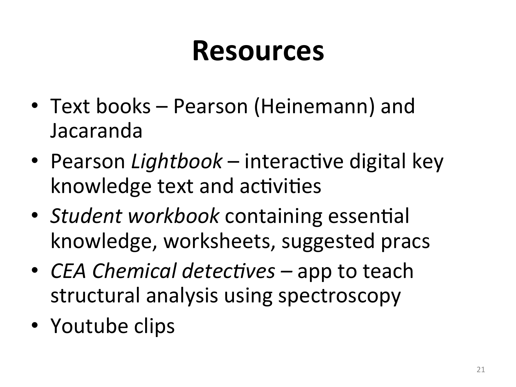## **Resources**

- Text books Pearson (Heinemann) and Jacaranda
- Pearson *Lightbook* interactive digital key knowledge text and activities
- *Student workbook* containing essential knowledge, worksheets, suggested pracs
- *CEA Chemical detectives* app to teach structural analysis using spectroscopy
- Youtube clips